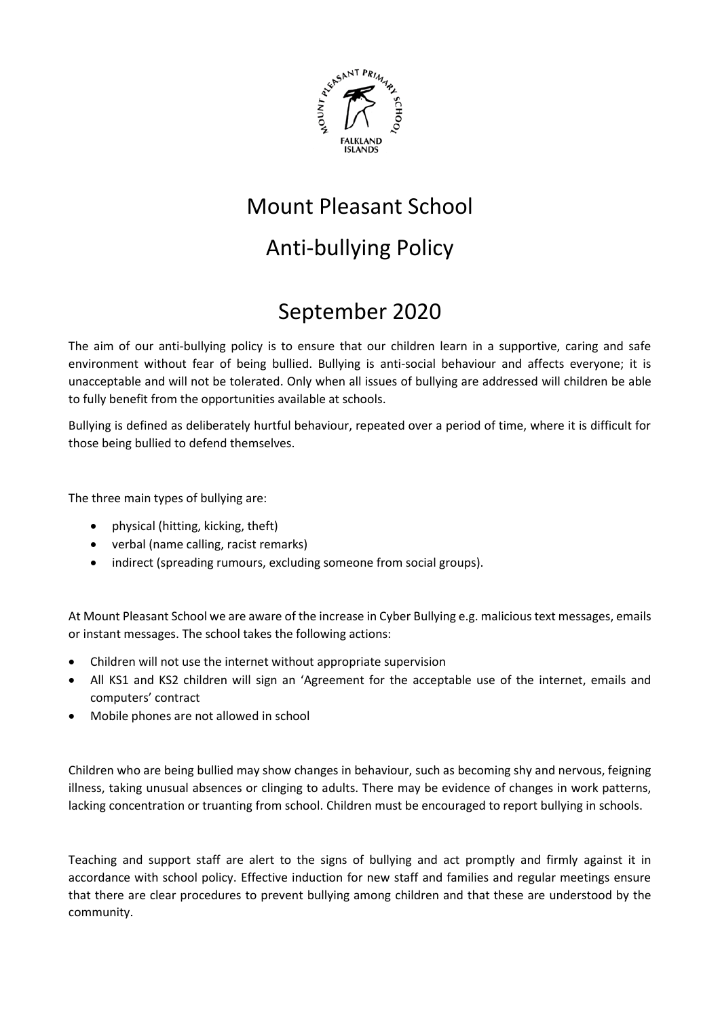

# Mount Pleasant School

# Anti-bullying Policy

# September 2020

The aim of our anti-bullying policy is to ensure that our children learn in a supportive, caring and safe environment without fear of being bullied. Bullying is anti-social behaviour and affects everyone; it is unacceptable and will not be tolerated. Only when all issues of bullying are addressed will children be able to fully benefit from the opportunities available at schools.

Bullying is defined as deliberately hurtful behaviour, repeated over a period of time, where it is difficult for those being bullied to defend themselves.

The three main types of bullying are:

- physical (hitting, kicking, theft)
- verbal (name calling, racist remarks)
- indirect (spreading rumours, excluding someone from social groups).

At Mount Pleasant School we are aware of the increase in Cyber Bullying e.g. malicious text messages, emails or instant messages. The school takes the following actions:

- Children will not use the internet without appropriate supervision
- All KS1 and KS2 children will sign an 'Agreement for the acceptable use of the internet, emails and computers' contract
- Mobile phones are not allowed in school

Children who are being bullied may show changes in behaviour, such as becoming shy and nervous, feigning illness, taking unusual absences or clinging to adults. There may be evidence of changes in work patterns, lacking concentration or truanting from school. Children must be encouraged to report bullying in schools.

Teaching and support staff are alert to the signs of bullying and act promptly and firmly against it in accordance with school policy. Effective induction for new staff and families and regular meetings ensure that there are clear procedures to prevent bullying among children and that these are understood by the community.